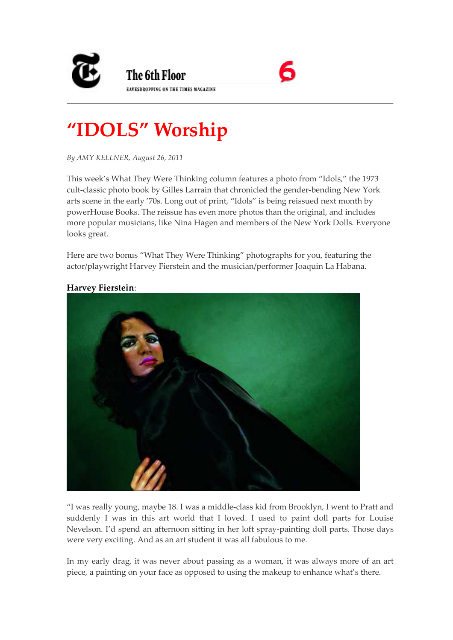



## **"IDOLS" Worship**

*By AMY KELLNER, August 26, 2011* 

This week's What They Were Thinking column features a photo from "Idols," the 1973 cult-classic photo book by Gilles Larrain that chronicled the gender-bending New York arts scene in the early '70s. Long out of print, "Idols" is being reissued next month by powerHouse Books. The reissue has even more photos than the original, and includes more popular musicians, like Nina Hagen and members of the New York Dolls. Everyone looks great.

Here are two bonus "What They Were Thinking" photographs for you, featuring the actor/playwright Harvey Fierstein and the musician/performer Joaquin La Habana.



## **Harvey Fierstein**:

"I was really young, maybe 18. I was a middle-class kid from Brooklyn, I went to Pratt and suddenly I was in this art world that I loved. I used to paint doll parts for Louise Nevelson. I'd spend an afternoon sitting in her loft spray-painting doll parts. Those days were very exciting. And as an art student it was all fabulous to me.

In my early drag, it was never about passing as a woman, it was always more of an art piece, a painting on your face as opposed to using the makeup to enhance what's there.